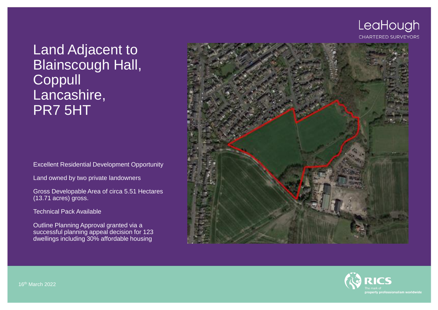# LeaHough

#### **CHARTERED SURVEYORS**

# Land Adjacent to Blainscough Hall, **Coppull** Lancashire, PR7 5HT

Excellent Residential Development Opportunity

Land owned by two private landowners

Gross Developable Area of circa 5.51 Hectares (13.71 acres) gross.

Technical Pack Available

Outline Planning Approval granted via a successful planning appeal decision for 123 dwellings including 30% affordable housing





16th March 2022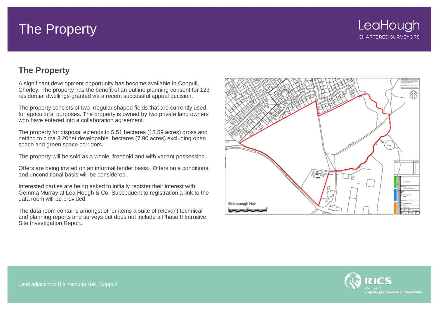# The Property

# **The Property**

A significant development opportunity has become available in Coppull, Chorley. The property has the benefit of an outline planning consent for 123 residential dwellings granted via a recent successful appeal decision.

The property consists of two irregular shaped fields that are currently used for agricultural purposes. The property is owned by two private land owners who have entered into a collaboration agreement.

The property for disposal extends to 5.51 hectares (13.59 acres) gross and netting to circa 3.20net developable hectares (7.90 acres) excluding open space and green space corridors.

The property will be sold as a whole, freehold and with vacant possession.

Offers are being invited on an informal tender basis. Offers on a conditional and unconditional basis will be considered.

Interested parties are being asked to initially register their interest with Gemma Murray at Lea Hough & Co. Subsequent to registration a link to the data room will be provided.

The data room contains amongst other items a suite of relevant technical and planning reports and surveys but does not include a Phase II Intrusive Site Investigation Report.



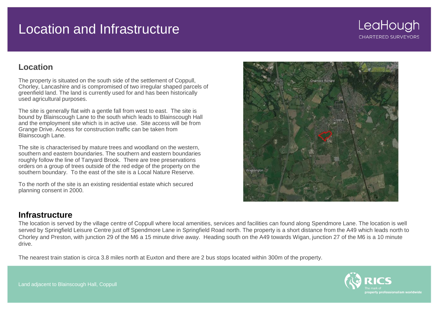# Location and Infrastructure

**CHARTERED SURVEYORS** 

LeaHough

### **Location**

The property is situated on the south side of the settlement of Coppull, Chorley, Lancashire and is compromised of two irregular shaped parcels of greenfield land. The land is currently used for and has been historically used agricultural purposes.

The site is generally flat with a gentle fall from west to east. The site is bound by Blainscough Lane to the south which leads to Blainscough Hall and the employment site which is in active use. Site access will be from Grange Drive. Access for construction traffic can be taken from Blainscough Lane.

The site is characterised by mature trees and woodland on the western, southern and eastern boundaries. The southern and eastern boundaries roughly follow the line of Tanyard Brook. There are tree preservations orders on a group of trees outside of the red edge of the property on the southern boundary. To the east of the site is a Local Nature Reserve.

To the north of the site is an existing residential estate which secured planning consent in 2000.

### **Infrastructure**

The location is served by the village centre of Coppull where local amenities, services and facilities can found along Spendmore Lane. The location is well served by Springfield Leisure Centre just off Spendmore Lane in Springfield Road north. The property is a short distance from the A49 which leads north to Chorley and Preston, with junction 29 of the M6 a 15 minute drive away. Heading south on the A49 towards Wigan, junction 27 of the M6 is a 10 minute drive.

The nearest train station is circa 3.8 miles north at Euxton and there are 2 bus stops located within 300m of the property.



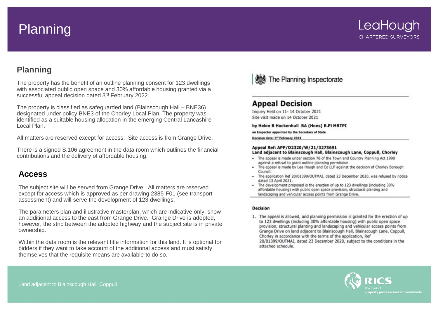# Planning

# **Planning**

The property has the benefit of an outline planning consent for 123 dwellings with associated public open space and 30% affordable housing granted via a successful appeal decision dated 3rd February 2022.

The property is classified as safeguarded land (Blainscough Hall – BNE36) designated under policy BNE3 of the Chorley Local Plan. The property was identified as a suitable housing allocation in the emerging Central Lancashire Local Plan.

All matters are reserved except for access. Site access is from Grange Drive.

There is a signed S.106 agreement in the data room which outlines the financial contributions and the delivery of affordable housing.

#### **Access**

The subject site will be served from Grange Drive. All matters are reserved except for access which is approved as per drawing 2385-F01 (see transport assessment) and will serve the development of 123 dwellings.

The parameters plan and illustrative masterplan, which are indicative only, show an additional access to the east from Grange Drive. Grange Drive is adopted, however, the strip between the adopted highway and the subject site is in private ownership.

Within the data room is the relevant title information for this land. It is optional for bidders if they want to take account of the additional access and must satisfy themselves that the requisite means are available to do so.



#### **Appeal Decision**

Inquiry Held on 11-14 October 2021 Site visit made on 14 October 2021

by Helen B Hockenhull BA (Hons) B.PI MRTPI

an Inspector appointed by the Secretary of State

Decision date: 3<sup>rd</sup> February 2022

#### Appeal Ref: APP/D2320/W/21/3275691

#### Land adjacent to Blainscough Hall, Blainscough Lane, Coppull, Chorley

- . The appeal is made under section 78 of the Town and Country Planning Act 1990 against a refusal to grant outline planning permission.
- . The appeal is made by Lea Hough and Co LLP against the decision of Chorley Borough Council.
- The application Ref 20/01399/OUTMAJ, dated 23 December 2020, was refused by notice dated 13 April 2021.
- . The development proposed is the erection of up to 123 dwellings (including 30% affordable housing) with public open space provision, structural planting and landscaping and vehicular access points from Grange Drive.

#### **Decision**

1. The appeal is allowed, and planning permission is granted for the erection of up to 123 dwellings (including 30% affordable housing) with public open space provision, structural planting and landscaping and vehicular access points from Grange Drive on land adjacent to Blainscough Hall, Blainscough Lane, Coppull, Chorley in accordance with the terms of the application, Ref 20/01399/OUTMAJ, dated 23 December 2020, subject to the conditions in the attached schedule.

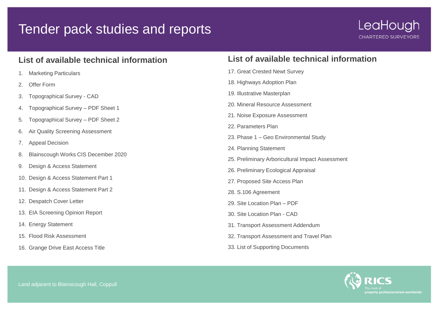# Tender pack studies and reports

## **List of available technical information**

- 1. Marketing Particulars
- 2. Offer Form
- 3. Topographical Survey CAD
- 4. Topographical Survey PDF Sheet 1
- 5. Topographical Survey PDF Sheet 2
- 6. Air Quality Screening Assessment
- 7. Appeal Decision
- 8. Blainscough Works CIS December 2020
- 9. Design & Access Statement
- 10. Design & Access Statement Part 1
- 11. Design & Access Statement Part 2
- 12. Despatch Cover Letter
- 13. EIA Screening Opinion Report
- 14. Energy Statement
- 15. Flood Risk Assessment
- 16. Grange Drive East Access Title

# **List of available technical information**

- 17. Great Crested Newt Survey
- 18. Highways Adoption Plan
- 19. Illustrative Masterplan
- 20. Mineral Resource Assessment
- 21. Noise Exposure Assessment
- 22. Parameters Plan
- 23. Phase 1 Geo Environmental Study
- 24. Planning Statement
- 25. Preliminary Arboricultural Impact Assessment
- 26. Preliminary Ecological Appraisal
- 27. Proposed Site Access Plan
- 28. S.106 Agreement
- 29. Site Location Plan PDF
- 30. Site Location Plan CAD
- 31. Transport Assessment Addendum
- 32. Transport Assessment and Travel Plan
- 33. List of Supporting Documents

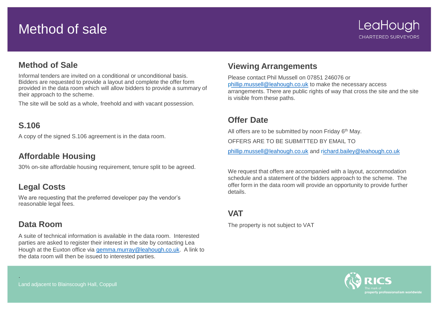# Method of sale

## **Method of Sale**

Informal tenders are invited on a conditional or unconditional basis. Bidders are requested to provide a layout and complete the offer form provided in the data room which will allow bidders to provide a summary of their approach to the scheme.

The site will be sold as a whole, freehold and with vacant possession.

### **S.106**

A copy of the signed S.106 agreement is in the data room.

## **Affordable Housing**

30% on-site affordable housing requirement, tenure split to be agreed.

# **Legal Costs**

We are requesting that the preferred developer pay the vendor's reasonable legal fees.

## **Data Room**

.

A suite of technical information is available in the data room. Interested parties are asked to register their interest in the site by contacting Lea Hough at the Euxton office via [gemma.murray@leahough.co.uk.](mailto:gemma.murray@leahough.co.uk) A link to the data room will then be issued to interested parties.

### **Viewing Arrangements**

Please contact Phil Mussell on 07851 246076 or [phillip.mussell@leahough.co.uk](mailto:Phillip.mussell@leahough.co.uk) to make the necessary access arrangements. There are public rights of way that cross the site and the site is visible from these paths.

### **Offer Date**

All offers are to be submitted by noon Friday 6<sup>th</sup> May.

OFFERS ARE TO BE SUBMITTED BY EMAIL TO

[phillip.mussell@leahough.co.uk](mailto:phillip.mussell@leahough.co.uk) and r[ichard.bailey@leahough.co.uk](mailto:Richard.bailey@leahough.co.uk)

We request that offers are accompanied with a layout, accommodation schedule and a statement of the bidders approach to the scheme. The offer form in the data room will provide an opportunity to provide further details.

## **VAT**

The property is not subject to VAT

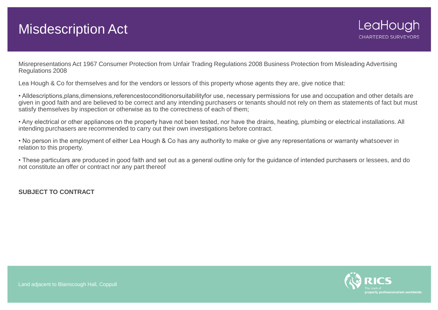# Misdescription Act

Misrepresentations Act 1967 Consumer Protection from Unfair Trading Regulations 2008 Business Protection from Misleading Advertising Regulations 2008

Lea Hough & Co for themselves and for the vendors or lessors of this property whose agents they are, give notice that:

• Alldescriptions,plans,dimensions,referencestoconditionorsuitabilityfor use, necessary permissions for use and occupation and other details are given in good faith and are believed to be correct and any intending purchasers or tenants should not rely on them as statements of fact but must satisfy themselves by inspection or otherwise as to the correctness of each of them;

• Any electrical or other appliances on the property have not been tested, nor have the drains, heating, plumbing or electrical installations. All intending purchasers are recommended to carry out their own investigations before contract.

• No person in the employment of either Lea Hough & Co has any authority to make or give any representations or warranty whatsoever in relation to this property.

• These particulars are produced in good faith and set out as a general outline only for the guidance of intended purchasers or lessees, and do not constitute an offer or contract nor any part thereof

**SUBJECT TO CONTRACT**